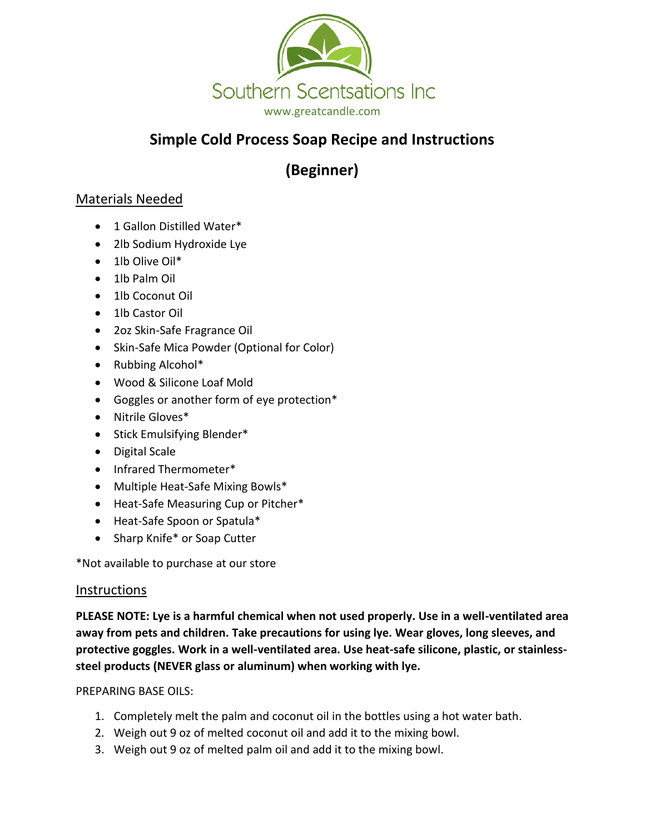

# **Simple Cold Process Soap Recipe and Instructions**

**(Beginner)**

## Materials Needed

- 1 Gallon Distilled Water\*
- 2lb Sodium Hydroxide Lye
- 1lb Olive Oil\*
- 1lb Palm Oil
- 1lb Coconut Oil
- 1lb Castor Oil
- 2oz Skin-Safe Fragrance Oil
- Skin-Safe Mica Powder (Optional for Color)
- Rubbing Alcohol\*
- Wood & Silicone Loaf Mold
- Goggles or another form of eye protection\*
- Nitrile Gloves\*
- Stick Emulsifying Blender\*
- Digital Scale
- Infrared Thermometer\*
- Multiple Heat-Safe Mixing Bowls\*
- Heat-Safe Measuring Cup or Pitcher\*
- Heat-Safe Spoon or Spatula\*
- Sharp Knife\* or Soap Cutter

\*Not available to purchase at our store

### Instructions

**PLEASE NOTE: Lye is a harmful chemical when not used properly. Use in a well-ventilated area away from pets and children. Take precautions for using lye. Wear gloves, long sleeves, and protective goggles. Work in a well-ventilated area. Use heat-safe silicone, plastic, or stainlesssteel products (NEVER glass or aluminum) when working with lye.**

### PREPARING BASE OILS:

- 1. Completely melt the palm and coconut oil in the bottles using a hot water bath.
- 2. Weigh out 9 oz of melted coconut oil and add it to the mixing bowl.
- 3. Weigh out 9 oz of melted palm oil and add it to the mixing bowl.